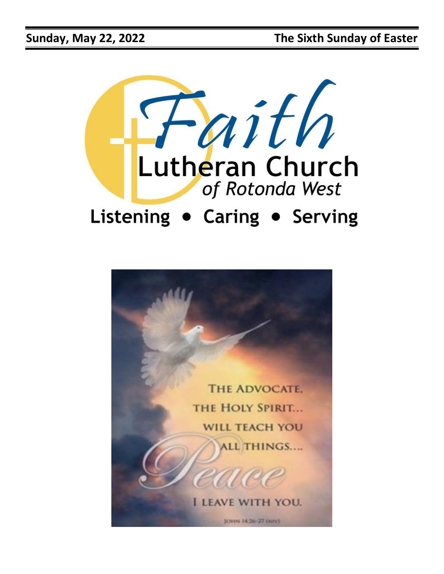

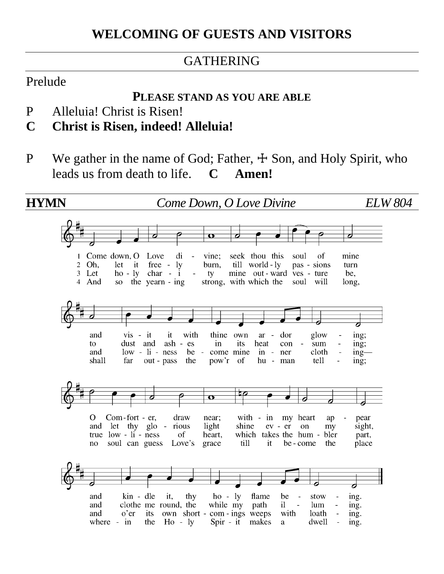#### GATHERING

#### Prelude

#### **PLEASE STAND AS YOU ARE ABLE**

- P Alleluia! Christ is Risen!
- **C Christ is Risen, indeed! Alleluia!**
- P We gather in the name of God; Father,  $\pm$  Son, and Holy Spirit, who leads us from death to life. **C Amen!**

**HYMN** *Come Down, O Love Divine ELW 804*1 Come down, O Love  $di$ vine: seek thou this soul of mine  $\sim$ 2 Oh. let it free - ly burn, till world - ly pas - sions turn 3 Let  $ho - ly$  char - i mine out-ward ves - ture be.  $\Box$ ty strong, with which the soul will 4 And  $SO<sub>2</sub>$ the yearn - ing long, and  $vis - it$ it. with thine own  $ar$ dor glow ing; dust and ash - es its heat con sum  $ing;$ to  $in$  $low - li - ness$ be - come mine cloth and in - ner  $ing$  shall far out - pass the pow'r of hu - man tell  $ing:$ O Com-fort - er, draw near; with - in my heart ap pear and let thy glo - rious light shine ev - er on my sight, true  $low - li - ness$ of heart, which takes the hum bler part, soul can guess Love's no grace till it be - come the place kin - dle  $ho - ly$ flame stow and it, thy be ing. clothe me round, the while my path il. lum and ing. and  $o'$ er its own short - com - ings weeps with loath ing. where - in the  $Ho - ly$ Spir - it makes  $\mathbf{a}$ dwell ing.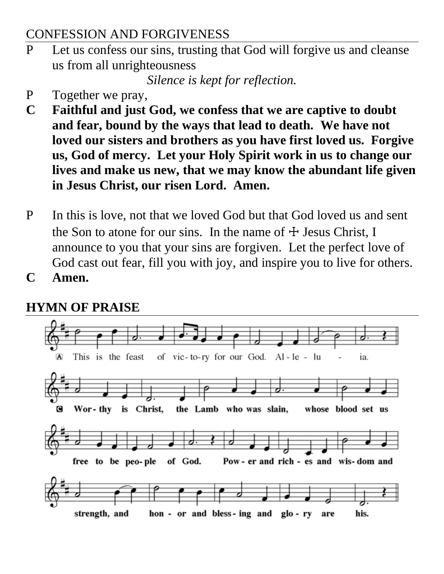#### CONFESSION AND FORGIVENESS

P Let us confess our sins, trusting that God will forgive us and cleanse us from all unrighteousness

*Silence is kept for reflection.*

- P Together we pray,
- **C Faithful and just God, we confess that we are captive to doubt and fear, bound by the ways that lead to death. We have not loved our sisters and brothers as you have first loved us. Forgive us, God of mercy. Let your Holy Spirit work in us to change our lives and make us new, that we may know the abundant life given in Jesus Christ, our risen Lord. Amen.**
- P In this is love, not that we loved God but that God loved us and sent the Son to atone for our sins. In the name of  $\pm$  Jesus Christ, I announce to you that your sins are forgiven. Let the perfect love of God cast out fear, fill you with joy, and inspire you to live for others.
- **C Amen.**

## **HYMN OF PRAISE**

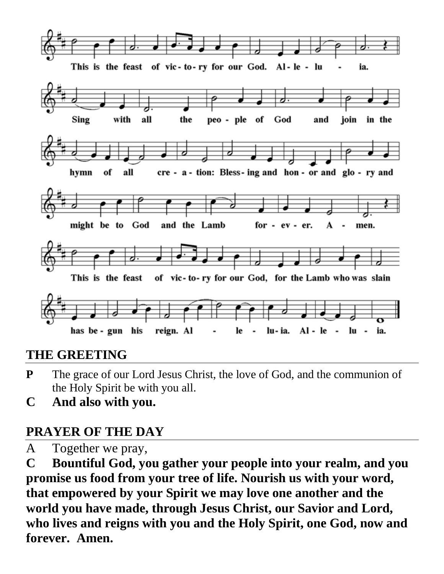

#### **THE GREETING**

- **P** The grace of our Lord Jesus Christ, the love of God, and the communion of the Holy Spirit be with you all.
- **C And also with you.**

## **PRAYER OF THE DAY**

A Together we pray,

**C Bountiful God, you gather your people into your realm, and you promise us food from your tree of life. Nourish us with your word, that empowered by your Spirit we may love one another and the world you have made, through Jesus Christ, our Savior and Lord, who lives and reigns with you and the Holy Spirit, one God, now and forever. Amen.**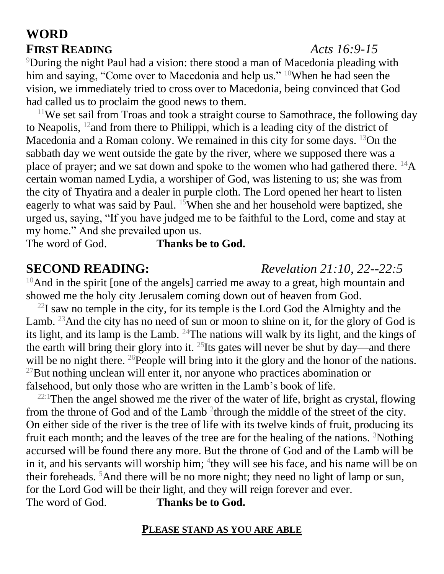#### **WORD FIRST READING** *Acts 16:9-15*

#### <sup>9</sup>During the night Paul had a vision: there stood a man of Macedonia pleading with him and saying, "Come over to Macedonia and help us." <sup>10</sup>When he had seen the vision, we immediately tried to cross over to Macedonia, being convinced that God had called us to proclaim the good news to them.

 $11$ We set sail from Troas and took a straight course to Samothrace, the following day to Neapolis, <sup>12</sup>and from there to Philippi, which is a leading city of the district of Macedonia and a Roman colony. We remained in this city for some days.  $^{13}$ On the sabbath day we went outside the gate by the river, where we supposed there was a place of prayer; and we sat down and spoke to the women who had gathered there. <sup>14</sup>A certain woman named Lydia, a worshiper of God, was listening to us; she was from the city of Thyatira and a dealer in purple cloth. The Lord opened her heart to listen eagerly to what was said by Paul. <sup>15</sup>When she and her household were baptized, she urged us, saying, "If you have judged me to be faithful to the Lord, come and stay at my home." And she prevailed upon us.

The word of God. **Thanks be to God.**

 $10$ And in the spirit [one of the angels] carried me away to a great, high mountain and showed me the holy city Jerusalem coming down out of heaven from God.

 $^{22}$ I saw no temple in the city, for its temple is the Lord God the Almighty and the Lamb. <sup>23</sup>And the city has no need of sun or moon to shine on it, for the glory of God is its light, and its lamp is the Lamb.  $24$ The nations will walk by its light, and the kings of the earth will bring their glory into it.  $^{25}$ Its gates will never be shut by day—and there will be no night there. <sup>26</sup>People will bring into it the glory and the honor of the nations.  $^{27}$ But nothing unclean will enter it, nor anyone who practices abomination or falsehood, but only those who are written in the Lamb's book of life.

 $22:1$ Then the angel showed me the river of the water of life, bright as crystal, flowing from the throne of God and of the Lamb<sup>2</sup> through the middle of the street of the city. On either side of the river is the tree of life with its twelve kinds of fruit, producing its fruit each month; and the leaves of the tree are for the healing of the nations.  $3$ Nothing accursed will be found there any more. But the throne of God and of the Lamb will be in it, and his servants will worship him; <sup>4</sup>they will see his face, and his name will be on their foreheads. <sup>5</sup>And there will be no more night; they need no light of lamp or sun, for the Lord God will be their light, and they will reign forever and ever. The word of God. **Thanks be to God.**

#### **PLEASE STAND AS YOU ARE ABLE**

#### **SECOND READING:** *Revelation 21:10, 22--22:5*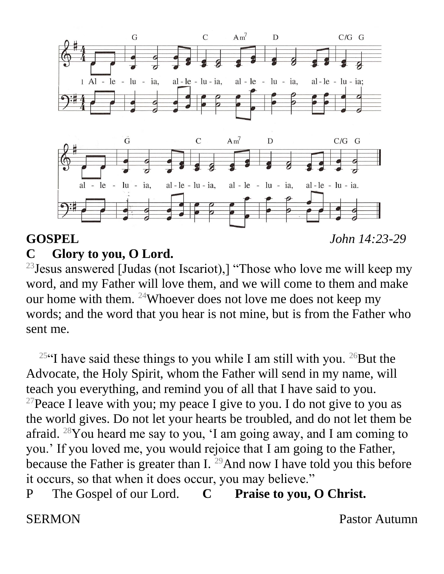

# **GOSPEL** *John 14:23-29*

#### **C Glory to you, O Lord.**

 $23$  Jesus answered [Judas (not Iscariot),] "Those who love me will keep my word, and my Father will love them, and we will come to them and make our home with them. <sup>24</sup>Whoever does not love me does not keep my words; and the word that you hear is not mine, but is from the Father who sent me.

<sup>25"</sup>I have said these things to you while I am still with you. <sup>26</sup>But the Advocate, the Holy Spirit, whom the Father will send in my name, will teach you everything, and remind you of all that I have said to you. <sup>27</sup>Peace I leave with you; my peace I give to you. I do not give to you as the world gives. Do not let your hearts be troubled, and do not let them be afraid. <sup>28</sup>You heard me say to you, 'I am going away, and I am coming to you.' If you loved me, you would rejoice that I am going to the Father, because the Father is greater than I.  $^{29}$ And now I have told you this before it occurs, so that when it does occur, you may believe."

P The Gospel of our Lord. **C Praise to you, O Christ.** 

SERMON Pastor Autumn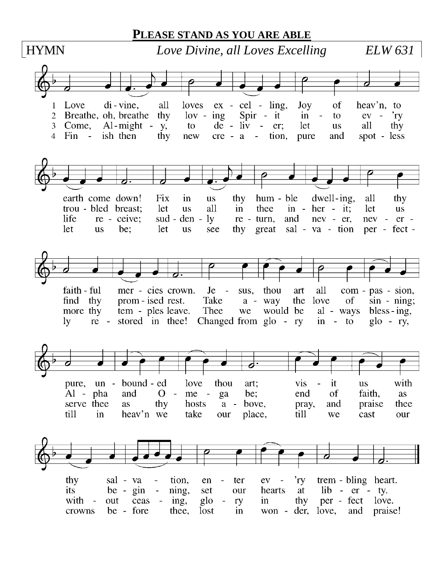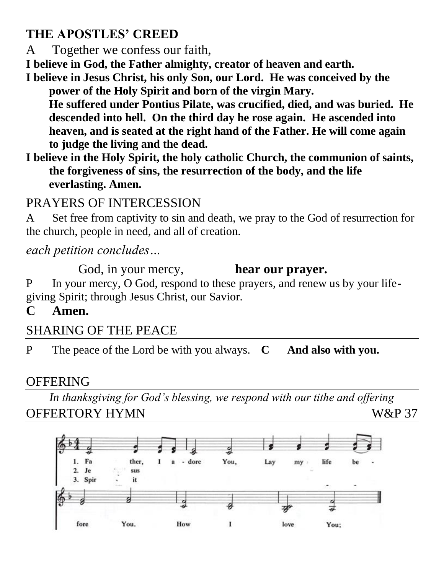#### **THE APOSTLES' CREED**

A Together we confess our faith,

**I believe in God, the Father almighty, creator of heaven and earth.**

**I believe in Jesus Christ, his only Son, our Lord. He was conceived by the power of the Holy Spirit and born of the virgin Mary.** 

**He suffered under Pontius Pilate, was crucified, died, and was buried. He descended into hell. On the third day he rose again. He ascended into heaven, and is seated at the right hand of the Father. He will come again to judge the living and the dead.** 

**I believe in the Holy Spirit, the holy catholic Church, the communion of saints, the forgiveness of sins, the resurrection of the body, and the life everlasting. Amen.**

#### PRAYERS OF INTERCESSION

A Set free from captivity to sin and death, we pray to the God of resurrection for the church, people in need, and all of creation.

*each petition concludes…* 

God, in your mercy, **hear our prayer.** P In your mercy, O God, respond to these prayers, and renew us by your lifegiving Spirit; through Jesus Christ, our Savior.

**C Amen.**

### SHARING OF THE PEACE

P The peace of the Lord be with you always. **C And also with you.**

#### **OFFERING**

*In thanksgiving for God's blessing, we respond with our tithe and offering* OFFERTORY HYMN W&P 37

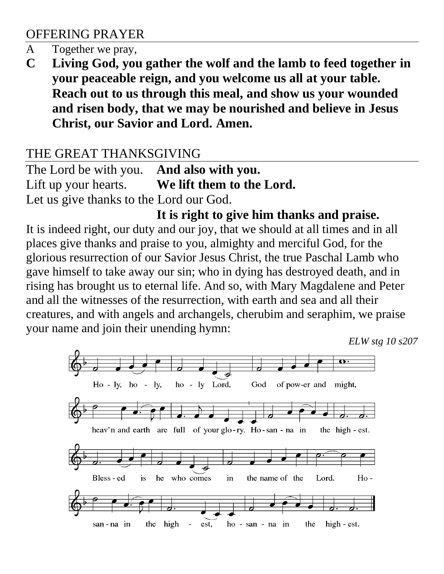#### OFFERING PRAYER

- A Together we pray,
- **C Living God, you gather the wolf and the lamb to feed together in your peaceable reign, and you welcome us all at your table. Reach out to us through this meal, and show us your wounded and risen body, that we may be nourished and believe in Jesus Christ, our Savior and Lord. Amen.**

#### THE GREAT THANKSGIVING

The Lord be with you. **And also with you.** Lift up your hearts. **We lift them to the Lord.** Let us give thanks to the Lord our God.

#### **It is right to give him thanks and praise.**

It is indeed right, our duty and our joy, that we should at all times and in all places give thanks and praise to you, almighty and merciful God, for the glorious resurrection of our Savior Jesus Christ, the true Paschal Lamb who gave himself to take away our sin; who in dying has destroyed death, and in rising has brought us to eternal life. And so, with Mary Magdalene and Peter and all the witnesses of the resurrection, with earth and sea and all their creatures, and with angels and archangels, cherubim and seraphim, we praise your name and join their unending hymn:

*ELW stg 10 s207*

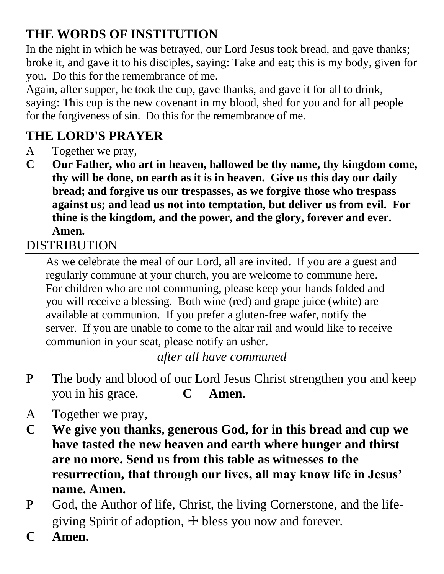# **THE WORDS OF INSTITUTION**

In the night in which he was betrayed, our Lord Jesus took bread, and gave thanks; broke it, and gave it to his disciples, saying: Take and eat; this is my body, given for you. Do this for the remembrance of me.

Again, after supper, he took the cup, gave thanks, and gave it for all to drink, saying: This cup is the new covenant in my blood, shed for you and for all people for the forgiveness of sin. Do this for the remembrance of me.

# **THE LORD'S PRAYER**

- A Together we pray,
- **C Our Father, who art in heaven, hallowed be thy name, thy kingdom come, thy will be done, on earth as it is in heaven. Give us this day our daily bread; and forgive us our trespasses, as we forgive those who trespass against us; and lead us not into temptation, but deliver us from evil. For thine is the kingdom, and the power, and the glory, forever and ever. Amen.**

## DISTRIBUTION

As we celebrate the meal of our Lord, all are invited. If you are a guest and regularly commune at your church, you are welcome to commune here. For children who are not communing, please keep your hands folded and you will receive a blessing. Both wine (red) and grape juice (white) are available at communion. If you prefer a gluten-free wafer, notify the server. If you are unable to come to the altar rail and would like to receive communion in your seat, please notify an usher.

#### *after all have communed*

- P The body and blood of our Lord Jesus Christ strengthen you and keep you in his grace. **C Amen.**
- A Together we pray,
- **C We give you thanks, generous God, for in this bread and cup we have tasted the new heaven and earth where hunger and thirst are no more. Send us from this table as witnesses to the resurrection, that through our lives, all may know life in Jesus' name. Amen.**
- P God, the Author of life, Christ, the living Cornerstone, and the lifegiving Spirit of adoption,  $\pm$  bless you now and forever.
- **C Amen.**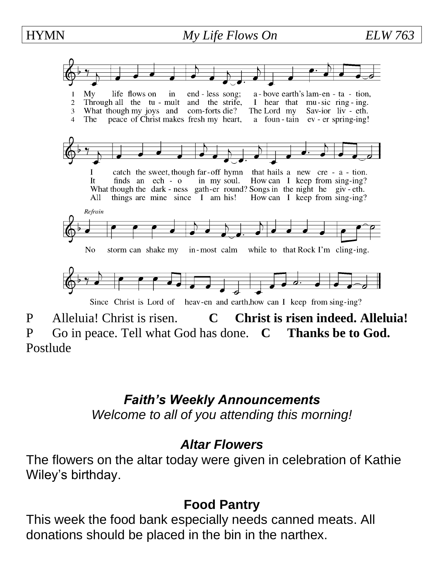#### HYMN *My Life Flows On ELW 763* life flows on a - bove earth's lam-en - ta - tion,  $Mv$  $in$ end - less song; Through all the tu - mult and the strife,  $\overline{2}$ I hear that mu-sic ring-ing. What though my joys and com-forts die?  $\overline{3}$ The Lord my Sav-ior liv - eth. The peace of Christ makes fresh my heart, a foun-tain ev-er spring-ing! catch the sweet, though far-off hymn that hails a new cre - a - tion.  $\bf I$ in my soul. How can I keep from sing-ing? It finds an  $ech - o$ What though the dark - ness gath-er round? Songs in the night he giv - eth. All things are mine since I am his! How can I keep from sing-ing? Refrain N<sub>0</sub> storm can shake my in-most calm while to that Rock I'm cling-ing. Since Christ is Lord of heav-en and earth, how can I keep from sing-ing?

P Alleluia! Christ is risen. **C Christ is risen indeed. Alleluia!** P Go in peace. Tell what God has done. **C Thanks be to God.** Postlude

# *Faith's Weekly Announcements*

*Welcome to all of you attending this morning!*

#### *Altar Flowers*

The flowers on the altar today were given in celebration of Kathie Wiley's birthday.

### **Food Pantry**

This week the food bank especially needs canned meats. All donations should be placed in the bin in the narthex.